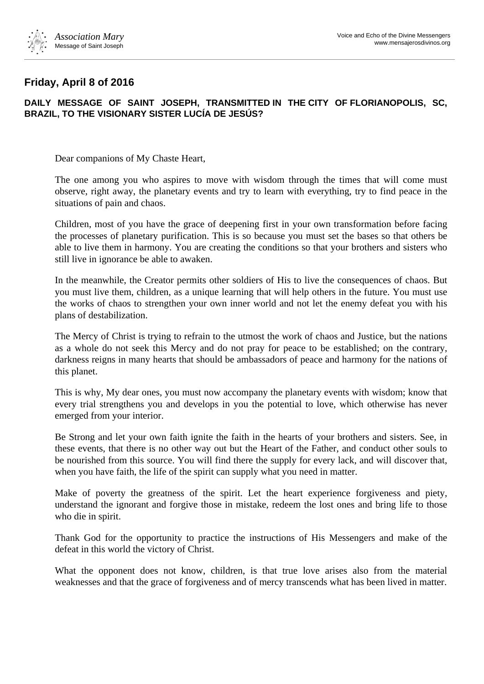

## **Friday, April 8 of 2016**

## **DAILY MESSAGE OF SAINT JOSEPH, TRANSMITTED IN THE CITY OF FLORIANOPOLIS, SC, BRAZIL, TO THE VISIONARY SISTER LUCÍA DE JESÚS?**

Dear companions of My Chaste Heart,

The one among you who aspires to move with wisdom through the times that will come must observe, right away, the planetary events and try to learn with everything, try to find peace in the situations of pain and chaos.

Children, most of you have the grace of deepening first in your own transformation before facing the processes of planetary purification. This is so because you must set the bases so that others be able to live them in harmony. You are creating the conditions so that your brothers and sisters who still live in ignorance be able to awaken.

In the meanwhile, the Creator permits other soldiers of His to live the consequences of chaos. But you must live them, children, as a unique learning that will help others in the future. You must use the works of chaos to strengthen your own inner world and not let the enemy defeat you with his plans of destabilization.

The Mercy of Christ is trying to refrain to the utmost the work of chaos and Justice, but the nations as a whole do not seek this Mercy and do not pray for peace to be established; on the contrary, darkness reigns in many hearts that should be ambassadors of peace and harmony for the nations of this planet.

This is why, My dear ones, you must now accompany the planetary events with wisdom; know that every trial strengthens you and develops in you the potential to love, which otherwise has never emerged from your interior.

Be Strong and let your own faith ignite the faith in the hearts of your brothers and sisters. See, in these events, that there is no other way out but the Heart of the Father, and conduct other souls to be nourished from this source. You will find there the supply for every lack, and will discover that, when you have faith, the life of the spirit can supply what you need in matter.

Make of poverty the greatness of the spirit. Let the heart experience forgiveness and piety, understand the ignorant and forgive those in mistake, redeem the lost ones and bring life to those who die in spirit.

Thank God for the opportunity to practice the instructions of His Messengers and make of the defeat in this world the victory of Christ.

What the opponent does not know, children, is that true love arises also from the material weaknesses and that the grace of forgiveness and of mercy transcends what has been lived in matter.